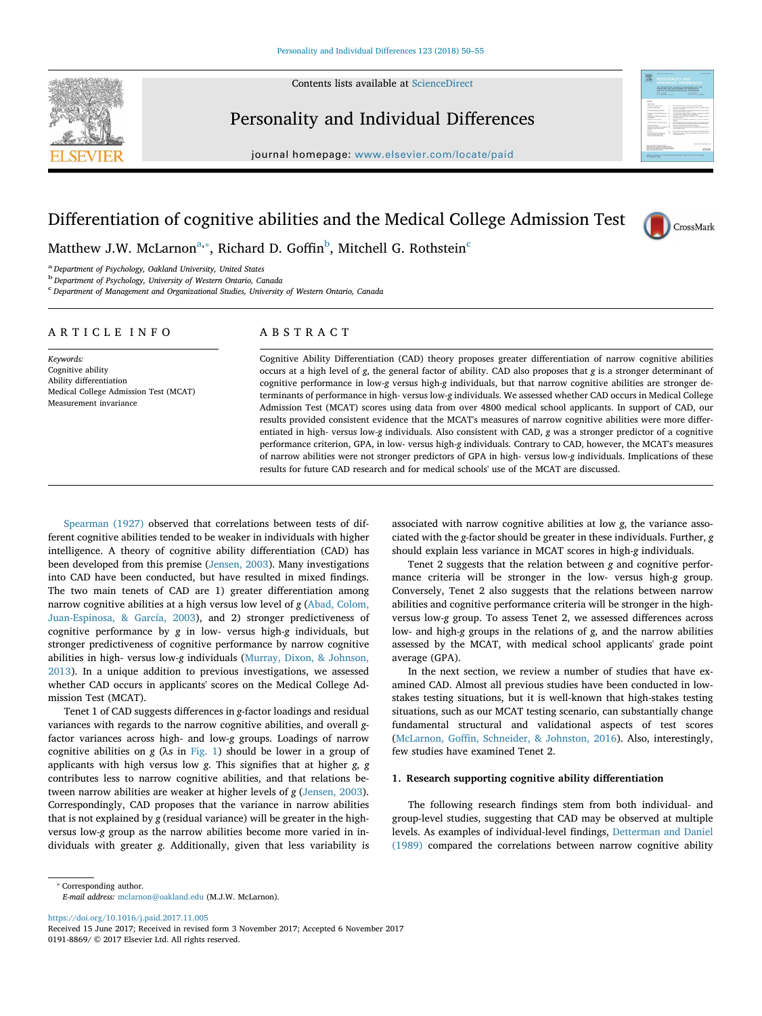Contents lists available at ScienceDirect



# Personality and Individual Differences

journal homepage: www.elsevier.com/locate/paid



# Differentiation of cognitive abilities and the Medical College Admission Test



Matthew J.W. McLarnon $^{\text{a},*}$ , Richard D. Goffin $^{\text{b}}$ , Mitchell G. Rothstein $^{\text{c}}$ 

a *Department of Psychology, Oakland University, United States*

b *Department of Psychology, University of Western Ontario, Canada*

c *Department of Management and Organizational Studies, University of Western Ontario, Canada*

# ARTICLE INFO

# ABSTRACT

*Keywords:* Cognitive ability Ability differentiation Medical College Admission Test (MCAT) Measurement invariance

Cognitive Ability Differentiation (CAD) theory proposes greater differentiation of narrow cognitive abilities occurs at a high level of *g*, the general factor of ability. CAD also proposes that *g* is a stronger determinant of cognitive performance in low-*g* versus high-*g* individuals, but that narrow cognitive abilities are stronger determinants of performance in high- versus low-*g* individuals. We assessed whether CAD occurs in Medical College Admission Test (MCAT) scores using data from over 4800 medical school applicants. In support of CAD, our results provided consistent evidence that the MCAT's measures of narrow cognitive abilities were more differentiated in high- versus low-*g* individuals. Also consistent with CAD, *g* was a stronger predictor of a cognitive performance criterion, GPA, in low- versus high-*g* individuals. Contrary to CAD, however, the MCAT's measures of narrow abilities were not stronger predictors of GPA in high- versus low-*g* individuals. Implications of these results for future CAD research and for medical schools' use of the MCAT are discussed.

Spearman (1927) observed that correlations between tests of different cognitive abilities tended to be weaker in individuals with higher intelligence. A theory of cognitive ability differentiation (CAD) has been developed from this premise (Jensen, 2003). Many investigations into CAD have been conducted, but have resulted in mixed findings. The two main tenets of CAD are 1) greater differentiation among narrow cognitive abilities at a high versus low level of *g* (Abad, Colom, Juan-Espinosa, & García, 2003), and 2) stronger predictiveness of cognitive performance by *g* in low- versus high-*g* individuals, but stronger predictiveness of cognitive performance by narrow cognitive abilities in high- versus low-*g* individuals (Murray, Dixon, & Johnson, 2013). In a unique addition to previous investigations, we assessed whether CAD occurs in applicants' scores on the Medical College Admission Test (MCAT).

Tenet 1 of CAD suggests differences in *g*-factor loadings and residual variances with regards to the narrow cognitive abilities, and overall *g*factor variances across high- and low-*g* groups. Loadings of narrow cognitive abilities on *g* (λs in Fig. 1) should be lower in a group of applicants with high versus low *g*. This signifies that at higher *g*, *g* contributes less to narrow cognitive abilities, and that relations between narrow abilities are weaker at higher levels of *g* (Jensen, 2003). Correspondingly, CAD proposes that the variance in narrow abilities that is not explained by *g* (residual variance) will be greater in the highversus low-*g* group as the narrow abilities become more varied in individuals with greater *g*. Additionally, given that less variability is

associated with narrow cognitive abilities at low *g*, the variance associated with the *g*-factor should be greater in these individuals. Further, *g* should explain less variance in MCAT scores in high-*g* individuals.

Tenet 2 suggests that the relation between *g* and cognitive performance criteria will be stronger in the low- versus high-*g* group. Conversely, Tenet 2 also suggests that the relations between narrow abilities and cognitive performance criteria will be stronger in the highversus low-*g* group. To assess Tenet 2, we assessed differences across low- and high-*g* groups in the relations of *g*, and the narrow abilities assessed by the MCAT, with medical school applicants' grade point average (GPA).

In the next section, we review a number of studies that have examined CAD. Almost all previous studies have been conducted in lowstakes testing situations, but it is well-known that high-stakes testing situations, such as our MCAT testing scenario, can substantially change fundamental structural and validational aspects of test scores (McLarnon, Goffin, Schneider, & Johnston, 2016). Also, interestingly, few studies have examined Tenet 2.

# 1. Research supporting cognitive ability differentiation

The following research findings stem from both individual- and group-level studies, suggesting that CAD may be observed at multiple levels. As examples of individual-level findings, Detterman and Daniel (1989) compared the correlations between narrow cognitive ability

⁎ Corresponding author.

*E-mail address:* mclarnon@oakland.edu (M.J.W. McLarnon).

https://doi.org/10.1016/j.paid.2017.11.005

Received 15 June 2017; Received in revised form 3 November 2017; Accepted 6 November 2017 0191-8869/ © 2017 Elsevier Ltd. All rights reserved.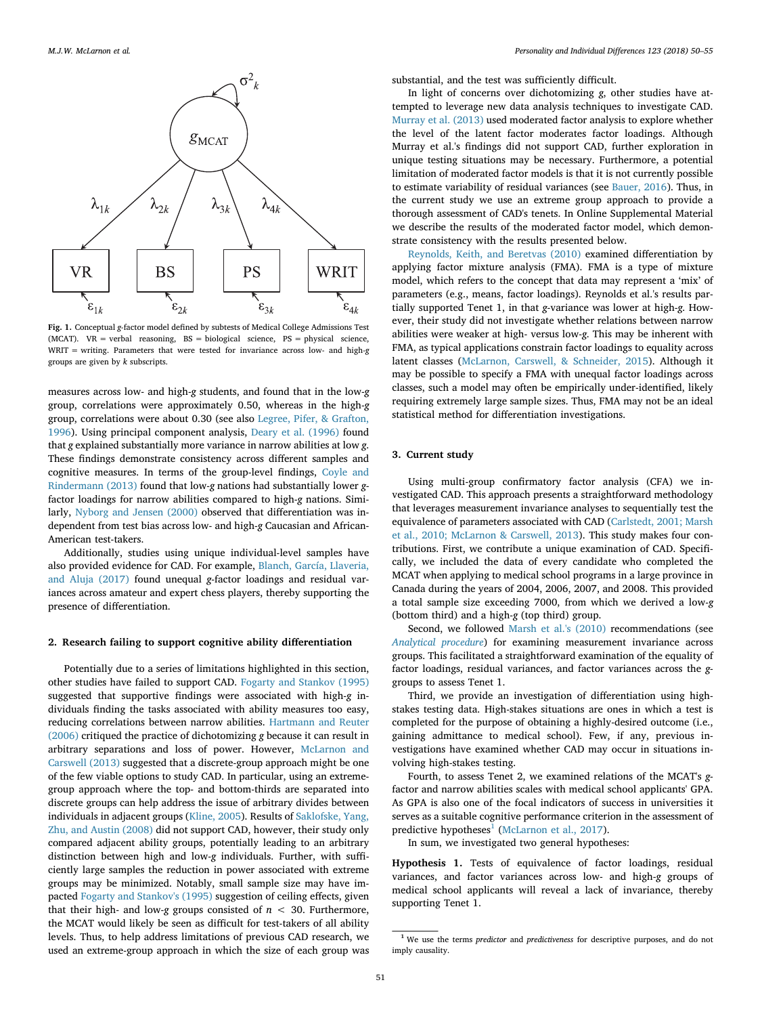

Fig. 1. Conceptual *g*-factor model defined by subtests of Medical College Admissions Test (MCAT). VR = verbal reasoning, BS = biological science, PS = physical science, WRIT = writing. Parameters that were tested for invariance across low- and high-*g* groups are given by *k* subscripts.

measures across low- and high-*g* students, and found that in the low-*g* group, correlations were approximately 0.50, whereas in the high-*g* group, correlations were about 0.30 (see also Legree, Pifer, & Grafton, 1996). Using principal component analysis, Deary et al. (1996) found that *g* explained substantially more variance in narrow abilities at low *g*. These findings demonstrate consistency across different samples and cognitive measures. In terms of the group-level findings, Coyle and Rindermann (2013) found that low-*g* nations had substantially lower *g*factor loadings for narrow abilities compared to high-*g* nations. Similarly, Nyborg and Jensen (2000) observed that differentiation was independent from test bias across low- and high-*g* Caucasian and African-American test-takers.

Additionally, studies using unique individual-level samples have also provided evidence for CAD. For example, Blanch, García, Llaveria, and Aluja (2017) found unequal *g*-factor loadings and residual variances across amateur and expert chess players, thereby supporting the presence of differentiation.

# 2. Research failing to support cognitive ability differentiation

Potentially due to a series of limitations highlighted in this section, other studies have failed to support CAD. Fogarty and Stankov (1995) suggested that supportive findings were associated with high-*g* individuals finding the tasks associated with ability measures too easy, reducing correlations between narrow abilities. Hartmann and Reuter (2006) critiqued the practice of dichotomizing *g* because it can result in arbitrary separations and loss of power. However, McLarnon and Carswell (2013) suggested that a discrete-group approach might be one of the few viable options to study CAD. In particular, using an extremegroup approach where the top- and bottom-thirds are separated into discrete groups can help address the issue of arbitrary divides between individuals in adjacent groups (Kline, 2005). Results of Saklofske, Yang, Zhu, and Austin (2008) did not support CAD, however, their study only compared adjacent ability groups, potentially leading to an arbitrary distinction between high and low-*g* individuals. Further, with sufficiently large samples the reduction in power associated with extreme groups may be minimized. Notably, small sample size may have impacted Fogarty and Stankov's (1995) suggestion of ceiling effects, given that their high- and low-*g* groups consisted of  $n < 30$ . Furthermore, the MCAT would likely be seen as difficult for test-takers of all ability levels. Thus, to help address limitations of previous CAD research, we used an extreme-group approach in which the size of each group was substantial, and the test was sufficiently difficult.

In light of concerns over dichotomizing *g*, other studies have attempted to leverage new data analysis techniques to investigate CAD. Murray et al. (2013) used moderated factor analysis to explore whether the level of the latent factor moderates factor loadings. Although Murray et al.'s findings did not support CAD, further exploration in unique testing situations may be necessary. Furthermore, a potential limitation of moderated factor models is that it is not currently possible to estimate variability of residual variances (see Bauer, 2016). Thus, in the current study we use an extreme group approach to provide a thorough assessment of CAD's tenets. In Online Supplemental Material we describe the results of the moderated factor model, which demonstrate consistency with the results presented below.

Reynolds, Keith, and Beretvas (2010) examined differentiation by applying factor mixture analysis (FMA). FMA is a type of mixture model, which refers to the concept that data may represent a 'mix' of parameters (e.g., means, factor loadings). Reynolds et al.'s results partially supported Tenet 1, in that *g*-variance was lower at high-*g*. However, their study did not investigate whether relations between narrow abilities were weaker at high- versus low-*g*. This may be inherent with FMA, as typical applications constrain factor loadings to equality across latent classes (McLarnon, Carswell, & Schneider, 2015). Although it may be possible to specify a FMA with unequal factor loadings across classes, such a model may often be empirically under-identified, likely requiring extremely large sample sizes. Thus, FMA may not be an ideal statistical method for differentiation investigations.

# 3. Current study

Using multi-group confirmatory factor analysis (CFA) we investigated CAD. This approach presents a straightforward methodology that leverages measurement invariance analyses to sequentially test the equivalence of parameters associated with CAD (Carlstedt, 2001; Marsh et al., 2010; McLarnon & Carswell, 2013). This study makes four contributions. First, we contribute a unique examination of CAD. Specifically, we included the data of every candidate who completed the MCAT when applying to medical school programs in a large province in Canada during the years of 2004, 2006, 2007, and 2008. This provided a total sample size exceeding 7000, from which we derived a low-*g* (bottom third) and a high-*g* (top third) group.

Second, we followed Marsh et al.'s (2010) recommendations (see *Analytical procedure*) for examining measurement invariance across groups. This facilitated a straightforward examination of the equality of factor loadings, residual variances, and factor variances across the *g*groups to assess Tenet 1.

Third, we provide an investigation of differentiation using highstakes testing data. High-stakes situations are ones in which a test is completed for the purpose of obtaining a highly-desired outcome (i.e., gaining admittance to medical school). Few, if any, previous investigations have examined whether CAD may occur in situations involving high-stakes testing.

Fourth, to assess Tenet 2, we examined relations of the MCAT's *g*factor and narrow abilities scales with medical school applicants' GPA. As GPA is also one of the focal indicators of success in universities it serves as a suitable cognitive performance criterion in the assessment of predictive hypotheses<sup>1</sup> (McLarnon et al., 2017).

In sum, we investigated two general hypotheses:

Hypothesis 1. Tests of equivalence of factor loadings, residual variances, and factor variances across low- and high-*g* groups of medical school applicants will reveal a lack of invariance, thereby supporting Tenet 1.

<sup>1</sup> We use the terms *predictor* and *predictiveness* for descriptive purposes, and do not imply causality.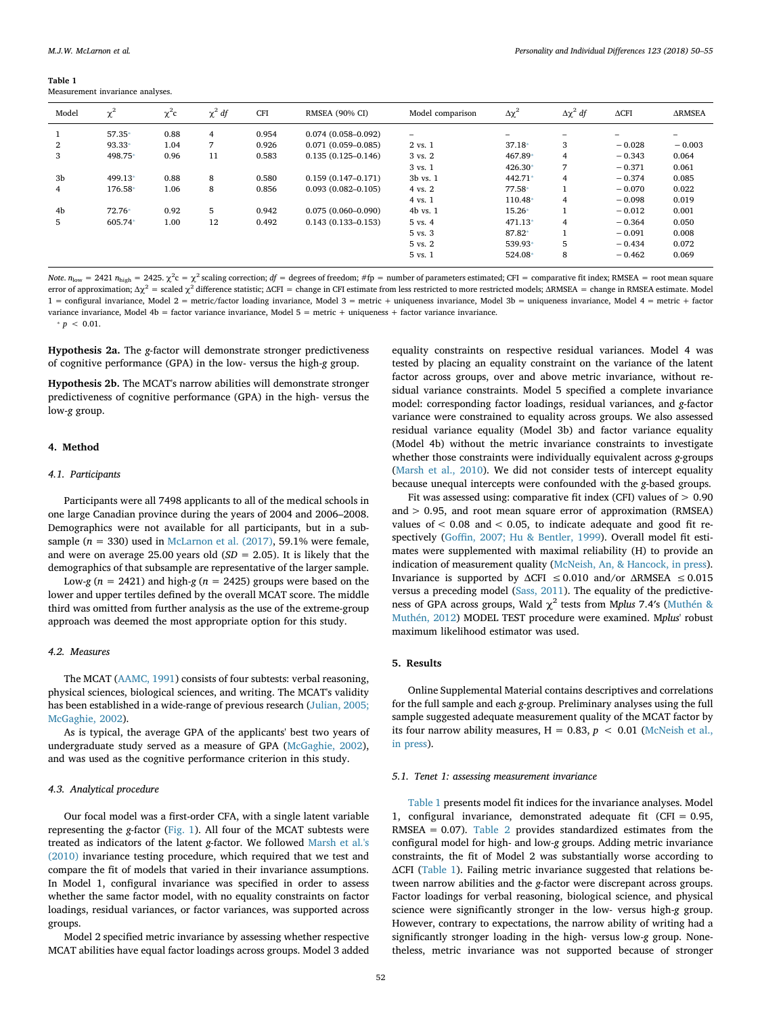Table 1

Measurement invariance analyses.

| Model          | $\gamma^2$<br>$\sim$ | $\chi^2$ c | $\chi^2$ df    | <b>CFI</b> | <b>RMSEA (90% CI)</b>  | Model comparison         | $\Delta\chi^2$ | $\Delta \chi^2$ $df$ | $\triangle$ CFI | <b>ARMSEA</b> |
|----------------|----------------------|------------|----------------|------------|------------------------|--------------------------|----------------|----------------------|-----------------|---------------|
| $\mathbf{1}$   | 57.35*               | 0.88       | $\overline{4}$ | 0.954      | $0.074(0.058 - 0.092)$ | $\overline{\phantom{0}}$ | -              | -                    | -               | -             |
| $\overline{2}$ | 93.33*               | 1.04       | 7              | 0.926      | $0.071(0.059 - 0.085)$ | $2 \text{ vs. } 1$       | $37.18*$       | 3                    | $-0.028$        | $-0.003$      |
| 3              | 498.75*              | 0.96       | 11             | 0.583      | $0.135(0.125 - 0.146)$ | 3 vs. 2                  | 467.89*        | 4                    | $-0.343$        | 0.064         |
|                |                      |            |                |            |                        | $3 \text{ vs. } 1$       | 426.30*        | 7                    | $-0.371$        | 0.061         |
| 3 <sub>b</sub> | 499.13*              | 0.88       | 8              | 0.580      | $0.159(0.147 - 0.171)$ | $3b$ vs. $1$             | 442.71*        | 4                    | $-0.374$        | 0.085         |
| 4              | 176.58*              | 1.06       | 8              | 0.856      | $0.093(0.082 - 0.105)$ | 4 vs. 2                  | $77.58*$       |                      | $-0.070$        | 0.022         |
|                |                      |            |                |            |                        | 4 vs. 1                  | 110.48*        | 4                    | $-0.098$        | 0.019         |
| 4b             | $72.76*$             | 0.92       | 5              | 0.942      | $0.075(0.060 - 0.090)$ | $4b$ vs. $1$             | 15.26*         |                      | $-0.012$        | 0.001         |
| 5              | 605.74*              | 1.00       | 12             | 0.492      | $0.143(0.133 - 0.153)$ | 5 vs. 4                  | $471.13*$      | $\overline{4}$       | $-0.364$        | 0.050         |
|                |                      |            |                |            |                        | 5 vs. 3                  | 87.82*         |                      | $-0.091$        | 0.008         |
|                |                      |            |                |            |                        | 5 vs. 2                  | 539.93*        | 5                    | $-0.434$        | 0.072         |
|                |                      |            |                |            |                        | 5 vs. 1                  | 524.08*        | 8                    | $-0.462$        | 0.069         |
|                |                      |            |                |            |                        |                          |                |                      |                 |               |

*Note. n*<sub>low</sub> = 2421 *n*<sub>high</sub> = 2425.  $\chi^2$ c =  $\chi^2$  scaling correction; *df* = degrees of freedom; #fp = number of parameters estimated; CFI = comparative fit index; RMSEA = root mean square error of approximation; Δχ<sup>2</sup> = scaled χ<sup>2</sup> difference statistic; ΔCFI = change in CFI estimate from less restricted to more restricted models; ΔRMSEA = change in RMSEA estimate. Model 1 = configural invariance, Model 2 = metric/factor loading invariance, Model 3 = metric + uniqueness invariance, Model 3b = uniqueness invariance, Model 4 = metric + factor variance invariance, Model 4b = factor variance invariance, Model  $5 =$  metric + uniqueness + factor variance invariance.  $p < 0.01$ .

Hypothesis 2a. The *g*-factor will demonstrate stronger predictiveness of cognitive performance (GPA) in the low- versus the high-*g* group.

Hypothesis 2b. The MCAT's narrow abilities will demonstrate stronger predictiveness of cognitive performance (GPA) in the high- versus the low-*g* group.

# 4. Method

# *4.1. Participants*

Participants were all 7498 applicants to all of the medical schools in one large Canadian province during the years of 2004 and 2006–2008. Demographics were not available for all participants, but in a subsample  $(n = 330)$  used in McLarnon et al.  $(2017)$ , 59.1% were female, and were on average 25.00 years old  $(SD = 2.05)$ . It is likely that the demographics of that subsample are representative of the larger sample.

Low-*g* (*n* = 2421) and high-*g* (*n* = 2425) groups were based on the lower and upper tertiles defined by the overall MCAT score. The middle third was omitted from further analysis as the use of the extreme-group approach was deemed the most appropriate option for this study.

## *4.2. Measures*

The MCAT (AAMC, 1991) consists of four subtests: verbal reasoning, physical sciences, biological sciences, and writing. The MCAT's validity has been established in a wide-range of previous research (Julian, 2005; McGaghie, 2002).

As is typical, the average GPA of the applicants' best two years of undergraduate study served as a measure of GPA (McGaghie, 2002), and was used as the cognitive performance criterion in this study.

# *4.3. Analytical procedure*

Our focal model was a first-order CFA, with a single latent variable representing the *g*-factor (Fig. 1). All four of the MCAT subtests were treated as indicators of the latent *g*-factor. We followed Marsh et al.'s (2010) invariance testing procedure, which required that we test and compare the fit of models that varied in their invariance assumptions. In Model 1, configural invariance was specified in order to assess whether the same factor model, with no equality constraints on factor loadings, residual variances, or factor variances, was supported across groups.

Model 2 specified metric invariance by assessing whether respective MCAT abilities have equal factor loadings across groups. Model 3 added

equality constraints on respective residual variances. Model 4 was tested by placing an equality constraint on the variance of the latent factor across groups, over and above metric invariance, without residual variance constraints. Model 5 specified a complete invariance model: corresponding factor loadings, residual variances, and *g*-factor variance were constrained to equality across groups. We also assessed residual variance equality (Model 3b) and factor variance equality (Model 4b) without the metric invariance constraints to investigate whether those constraints were individually equivalent across *g*-groups (Marsh et al., 2010). We did not consider tests of intercept equality because unequal intercepts were confounded with the *g*-based groups.

Fit was assessed using: comparative fit index (CFI) values of  $> 0.90$ and > 0.95, and root mean square error of approximation (RMSEA) values of  $< 0.08$  and  $< 0.05$ , to indicate adequate and good fit respectively (Goffin, 2007; Hu & Bentler, 1999). Overall model fit estimates were supplemented with maximal reliability (H) to provide an indication of measurement quality (McNeish, An, & Hancock, in press). Invariance is supported by  $\Delta$ CFI  $\leq$  0.010 and/or  $\Delta$ RMSEA  $\leq$  0.015 versus a preceding model (Sass, 2011). The equality of the predictiveness of GPA across groups, Wald χ 2 tests from M*plus* 7.4′s (Muthén & Muthén, 2012) MODEL TEST procedure were examined. M*plus*' robust maximum likelihood estimator was used.

# 5. Results

Online Supplemental Material contains descriptives and correlations for the full sample and each *g*-group. Preliminary analyses using the full sample suggested adequate measurement quality of the MCAT factor by its four narrow ability measures,  $H = 0.83$ ,  $p < 0.01$  (McNeish et al., in press).

# *5.1. Tenet 1: assessing measurement invariance*

Table 1 presents model fit indices for the invariance analyses. Model 1, configural invariance, demonstrated adequate fit (CFI =  $0.95$ , RMSEA = 0.07). Table 2 provides standardized estimates from the configural model for high- and low-*g* groups. Adding metric invariance constraints, the fit of Model 2 was substantially worse according to ΔCFI (Table 1). Failing metric invariance suggested that relations between narrow abilities and the *g*-factor were discrepant across groups. Factor loadings for verbal reasoning, biological science, and physical science were significantly stronger in the low- versus high-*g* group. However, contrary to expectations, the narrow ability of writing had a significantly stronger loading in the high- versus low-*g* group. Nonetheless, metric invariance was not supported because of stronger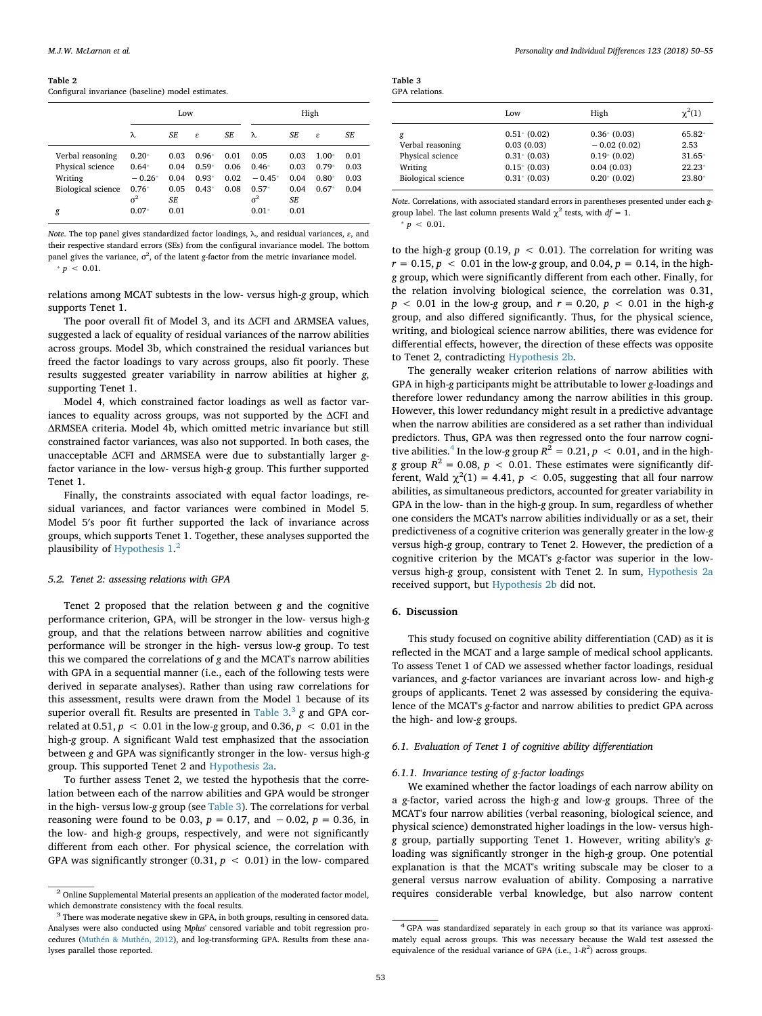#### Table 2

Configural invariance (baseline) model estimates.

|                                                                              | Low                                                     |                                    |                                          |                              | High                                                 |                                    |                                          |                              |
|------------------------------------------------------------------------------|---------------------------------------------------------|------------------------------------|------------------------------------------|------------------------------|------------------------------------------------------|------------------------------------|------------------------------------------|------------------------------|
|                                                                              | λ                                                       | SE                                 | ε                                        | SE                           | λ.                                                   | SE                                 | ε                                        | SE                           |
| Verbal reasoning<br>Physical science<br>Writing<br><b>Biological science</b> | $0.20*$<br>$0.64*$<br>$-0.26*$<br>$0.76*$<br>$\sigma^2$ | 0.03<br>0.04<br>0.04<br>0.05<br>SE | $0.96*$<br>$0.59*$<br>$0.93*$<br>$0.43*$ | 0.01<br>0.06<br>0.02<br>0.08 | 0.05<br>$0.46*$<br>$-0.45*$<br>$0.57*$<br>$\sigma^2$ | 0.03<br>0.03<br>0.04<br>0.04<br>SE | $1.00*$<br>$0.79*$<br>$0.80*$<br>$0.67*$ | 0.01<br>0.03<br>0.03<br>0.04 |
| g                                                                            | $0.07*$                                                 | 0.01                               |                                          |                              | $0.01*$                                              | 0.01                               |                                          |                              |

*Note*. The top panel gives standardized factor loadings, λ, and residual variances, ε, and their respective standard errors (SEs) from the configural invariance model. The bottom panel gives the variance, σ 2 , of the latent *g*-factor from the metric invariance model.

 $p < 0.01$ .

relations among MCAT subtests in the low- versus high-*g* group, which supports Tenet 1.

The poor overall fit of Model 3, and its ΔCFI and ΔRMSEA values, suggested a lack of equality of residual variances of the narrow abilities across groups. Model 3b, which constrained the residual variances but freed the factor loadings to vary across groups, also fit poorly. These results suggested greater variability in narrow abilities at higher *g*, supporting Tenet 1.

Model 4, which constrained factor loadings as well as factor variances to equality across groups, was not supported by the ΔCFI and ΔRMSEA criteria. Model 4b, which omitted metric invariance but still constrained factor variances, was also not supported. In both cases, the unacceptable ΔCFI and ΔRMSEA were due to substantially larger *g*factor variance in the low- versus high-*g* group. This further supported Tenet 1.

Finally, the constraints associated with equal factor loadings, residual variances, and factor variances were combined in Model 5. Model 5′s poor fit further supported the lack of invariance across groups, which supports Tenet 1. Together, these analyses supported the plausibility of Hypothesis  $1.^2$ 

## *5.2. Tenet 2: assessing relations with GPA*

Tenet 2 proposed that the relation between *g* and the cognitive performance criterion, GPA, will be stronger in the low- versus high-*g* group, and that the relations between narrow abilities and cognitive performance will be stronger in the high- versus low-*g* group. To test this we compared the correlations of *g* and the MCAT's narrow abilities with GPA in a sequential manner (i.e., each of the following tests were derived in separate analyses). Rather than using raw correlations for this assessment, results were drawn from the Model 1 because of its superior overall fit. Results are presented in Table 3. 3 *g* and GPA correlated at 0.51, *p* < 0.01 in the low-*g* group, and 0.36, *p* < 0.01 in the high-*g* group. A significant Wald test emphasized that the association between *g* and GPA was significantly stronger in the low- versus high-*g* group. This supported Tenet 2 and Hypothesis 2a.

To further assess Tenet 2, we tested the hypothesis that the correlation between each of the narrow abilities and GPA would be stronger in the high- versus low-*g* group (see Table 3). The correlations for verbal reasoning were found to be 0.03,  $p = 0.17$ , and  $-0.02$ ,  $p = 0.36$ , in the low- and high-*g* groups, respectively, and were not significantly different from each other. For physical science, the correlation with GPA was significantly stronger  $(0.31, p < 0.01)$  in the low-compared

| Table 3 |                      |
|---------|----------------------|
|         | <b>GPA</b> relations |

|                                                                            | Low                                                                            | High                                                                           | $\gamma^2(1)$                                    |
|----------------------------------------------------------------------------|--------------------------------------------------------------------------------|--------------------------------------------------------------------------------|--------------------------------------------------|
| g<br>Verbal reasoning<br>Physical science<br>Writing<br>Biological science | $0.51*(0.02)$<br>0.03(0.03)<br>$0.31*(0.03)$<br>$0.15*(0.03)$<br>$0.31*(0.03)$ | $0.36*(0.03)$<br>$-0.02(0.02)$<br>$0.19*(0.02)$<br>0.04(0.03)<br>$0.20*(0.02)$ | 65.82*<br>2.53<br>$31.65*$<br>$22.23*$<br>23.80* |
|                                                                            |                                                                                |                                                                                |                                                  |

*Note*. Correlations, with associated standard errors in parentheses presented under each *g*group label. The last column presents Wald  $\chi^2$  tests, with *df* = 1.

 $p < 0.01$ .

to the high-*g* group (0.19,  $p < 0.01$ ). The correlation for writing was  $r = 0.15$ ,  $p < 0.01$  in the low-*g* group, and 0.04,  $p = 0.14$ , in the high*g* group, which were significantly different from each other. Finally, for the relation involving biological science, the correlation was 0.31,  $p < 0.01$  in the low-*g* group, and  $r = 0.20$ ,  $p < 0.01$  in the high-*g* group, and also differed significantly. Thus, for the physical science, writing, and biological science narrow abilities, there was evidence for differential effects, however, the direction of these effects was opposite to Tenet 2, contradicting Hypothesis 2b.

The generally weaker criterion relations of narrow abilities with GPA in high-*g* participants might be attributable to lower *g*-loadings and therefore lower redundancy among the narrow abilities in this group. However, this lower redundancy might result in a predictive advantage when the narrow abilities are considered as a set rather than individual predictors. Thus, GPA was then regressed onto the four narrow cognitive abilities.<sup>4</sup> In the low-*g* group  $R^2 = 0.21$ ,  $p < 0.01$ , and in the high*g* group  $R^2 = 0.08$ ,  $p < 0.01$ . These estimates were significantly different, Wald  $\chi^2(1) = 4.41$ ,  $p < 0.05$ , suggesting that all four narrow abilities, as simultaneous predictors, accounted for greater variability in GPA in the low- than in the high-*g* group. In sum, regardless of whether one considers the MCAT's narrow abilities individually or as a set, their predictiveness of a cognitive criterion was generally greater in the low-*g* versus high-*g* group, contrary to Tenet 2. However, the prediction of a cognitive criterion by the MCAT's *g*-factor was superior in the lowversus high-*g* group, consistent with Tenet 2. In sum, Hypothesis 2a received support, but Hypothesis 2b did not.

# 6. Discussion

This study focused on cognitive ability differentiation (CAD) as it is reflected in the MCAT and a large sample of medical school applicants. To assess Tenet 1 of CAD we assessed whether factor loadings, residual variances, and *g*-factor variances are invariant across low- and high-*g* groups of applicants. Tenet 2 was assessed by considering the equivalence of the MCAT's *g*-factor and narrow abilities to predict GPA across the high- and low-*g* groups.

# *6.1. Evaluation of Tenet 1 of cognitive ability di*ff*erentiation*

#### *6.1.1. Invariance testing of g-factor loadings*

We examined whether the factor loadings of each narrow ability on a *g*-factor, varied across the high-*g* and low-*g* groups. Three of the MCAT's four narrow abilities (verbal reasoning, biological science, and physical science) demonstrated higher loadings in the low- versus high*g* group, partially supporting Tenet 1. However, writing ability's *g*loading was significantly stronger in the high-*g* group. One potential explanation is that the MCAT's writing subscale may be closer to a general versus narrow evaluation of ability. Composing a narrative requires considerable verbal knowledge, but also narrow content

 $^{\rm 2}$  Online Supplemental Material presents an application of the moderated factor model, which demonstrate consistency with the focal results.

<sup>&</sup>lt;sup>3</sup> There was moderate negative skew in GPA, in both groups, resulting in censored data. Analyses were also conducted using M*plus*' censored variable and tobit regression procedures (Muthén & Muthén, 2012), and log-transforming GPA. Results from these analyses parallel those reported.

<sup>4</sup> GPA was standardized separately in each group so that its variance was approximately equal across groups. This was necessary because the Wald test assessed the equivalence of the residual variance of GPA (i.e., 1-R<sup>2</sup>) across groups.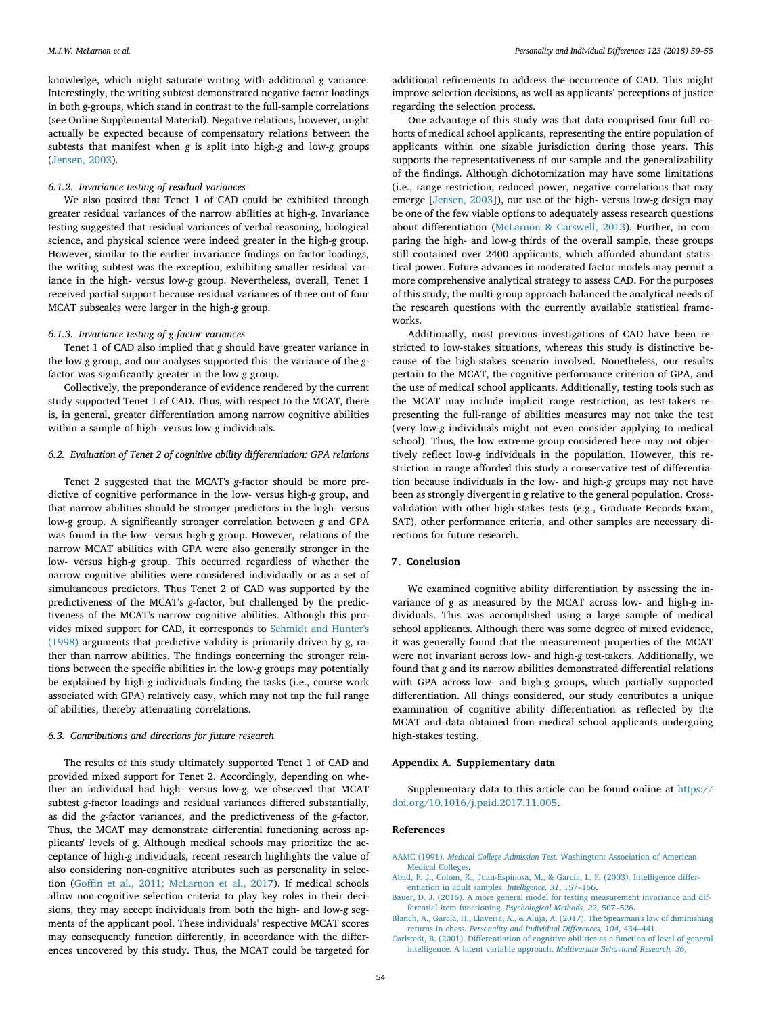knowledge, which might saturate writing with additional *g* variance. Interestingly, the writing subtest demonstrated negative factor loadings in both *g*-groups, which stand in contrast to the full-sample correlations (see Online Supplemental Material). Negative relations, however, might actually be expected because of compensatory relations between the subtests that manifest when *g* is split into high-*g* and low-*g* groups (Jensen, 2003).

# *6.1.2. Invariance testing of residual variances*

We also posited that Tenet 1 of CAD could be exhibited through greater residual variances of the narrow abilities at high-*g*. Invariance testing suggested that residual variances of verbal reasoning, biological science, and physical science were indeed greater in the high-*g* group. However, similar to the earlier invariance findings on factor loadings, the writing subtest was the exception, exhibiting smaller residual variance in the high- versus low-*g* group. Nevertheless, overall, Tenet 1 received partial support because residual variances of three out of four MCAT subscales were larger in the high-*g* group.

## *6.1.3. Invariance testing of g-factor variances*

Tenet 1 of CAD also implied that *g* should have greater variance in the low-*g* group, and our analyses supported this: the variance of the *g*factor was significantly greater in the low-*g* group.

Collectively, the preponderance of evidence rendered by the current study supported Tenet 1 of CAD. Thus, with respect to the MCAT, there is, in general, greater differentiation among narrow cognitive abilities within a sample of high- versus low-*g* individuals.

# *6.2. Evaluation of Tenet 2 of cognitive ability di*ff*erentiation: GPA relations*

Tenet 2 suggested that the MCAT's *g-*factor should be more predictive of cognitive performance in the low- versus high-*g* group, and that narrow abilities should be stronger predictors in the high- versus low-*g* group. A significantly stronger correlation between *g* and GPA was found in the low- versus high-*g* group. However, relations of the narrow MCAT abilities with GPA were also generally stronger in the low- versus high-*g* group. This occurred regardless of whether the narrow cognitive abilities were considered individually or as a set of simultaneous predictors. Thus Tenet 2 of CAD was supported by the predictiveness of the MCAT's *g*-factor, but challenged by the predictiveness of the MCAT's narrow cognitive abilities. Although this provides mixed support for CAD, it corresponds to Schmidt and Hunter's (1998) arguments that predictive validity is primarily driven by *g*, rather than narrow abilities. The findings concerning the stronger relations between the specific abilities in the low-*g* groups may potentially be explained by high-*g* individuals finding the tasks (i.e., course work associated with GPA) relatively easy, which may not tap the full range of abilities, thereby attenuating correlations.

# *6.3. Contributions and directions for future research*

The results of this study ultimately supported Tenet 1 of CAD and provided mixed support for Tenet 2. Accordingly, depending on whether an individual had high- versus low-*g*, we observed that MCAT subtest *g*-factor loadings and residual variances differed substantially, as did the *g*-factor variances, and the predictiveness of the *g*-factor. Thus, the MCAT may demonstrate differential functioning across applicants' levels of *g*. Although medical schools may prioritize the acceptance of high-*g* individuals, recent research highlights the value of also considering non-cognitive attributes such as personality in selection (Goffin et al., 2011; McLarnon et al., 2017). If medical schools allow non-cognitive selection criteria to play key roles in their decisions, they may accept individuals from both the high- and low-*g* segments of the applicant pool. These individuals' respective MCAT scores may consequently function differently, in accordance with the differences uncovered by this study. Thus, the MCAT could be targeted for

additional refinements to address the occurrence of CAD. This might improve selection decisions, as well as applicants' perceptions of justice regarding the selection process.

One advantage of this study was that data comprised four full cohorts of medical school applicants, representing the entire population of applicants within one sizable jurisdiction during those years. This supports the representativeness of our sample and the generalizability of the findings. Although dichotomization may have some limitations (i.e., range restriction, reduced power, negative correlations that may emerge [Jensen, 2003]), our use of the high- versus low-*g* design may be one of the few viable options to adequately assess research questions about differentiation (McLarnon & Carswell, 2013). Further, in comparing the high- and low-*g* thirds of the overall sample, these groups still contained over 2400 applicants, which afforded abundant statistical power. Future advances in moderated factor models may permit a more comprehensive analytical strategy to assess CAD. For the purposes of this study, the multi-group approach balanced the analytical needs of the research questions with the currently available statistical frameworks.

Additionally, most previous investigations of CAD have been restricted to low-stakes situations, whereas this study is distinctive because of the high-stakes scenario involved. Nonetheless, our results pertain to the MCAT, the cognitive performance criterion of GPA, and the use of medical school applicants. Additionally, testing tools such as the MCAT may include implicit range restriction, as test-takers representing the full-range of abilities measures may not take the test (very low-*g* individuals might not even consider applying to medical school). Thus, the low extreme group considered here may not objectively reflect low-*g* individuals in the population. However, this restriction in range afforded this study a conservative test of differentiation because individuals in the low- and high-*g* groups may not have been as strongly divergent in *g* relative to the general population. Crossvalidation with other high-stakes tests (e.g., Graduate Records Exam, SAT), other performance criteria, and other samples are necessary directions for future research.

# 7. Conclusion

We examined cognitive ability differentiation by assessing the invariance of *g* as measured by the MCAT across low- and high-*g* individuals. This was accomplished using a large sample of medical school applicants. Although there was some degree of mixed evidence, it was generally found that the measurement properties of the MCAT were not invariant across low- and high-*g* test-takers. Additionally, we found that *g* and its narrow abilities demonstrated differential relations with GPA across low- and high-*g* groups, which partially supported differentiation. All things considered, our study contributes a unique examination of cognitive ability differentiation as reflected by the MCAT and data obtained from medical school applicants undergoing high-stakes testing.

# Appendix A. Supplementary data

Supplementary data to this article can be found online at https:// doi.org/10.1016/j.paid.2017.11.005.

#### References

- AAMC (1991). *Medical College Admission Test.* Washington: Association of American Medical Colleges.
- Abad, F. J., Colom, R., Juan-Espinosa, M., & García, L. F. (2003). Intelligence differentiation in adult samples. *Intelligence, 31*, 157–166.
- Bauer, D. J. (2016). A more general model for testing measurement invariance and differential item functioning. *Psychological Methods, 22*, 507–526.
- Blanch, A., García, H., Llaveria, A., & Aluja, A. (2017). The Spearman's law of diminishing returns in chess. *Personality and Individual Di*ff*erences, 104*, 434–441.
- Carlstedt, B. (2001). Differentiation of cognitive abilities as a function of level of general intelligence: A latent variable approach. *Multivariate Behavioral Research, 36*,